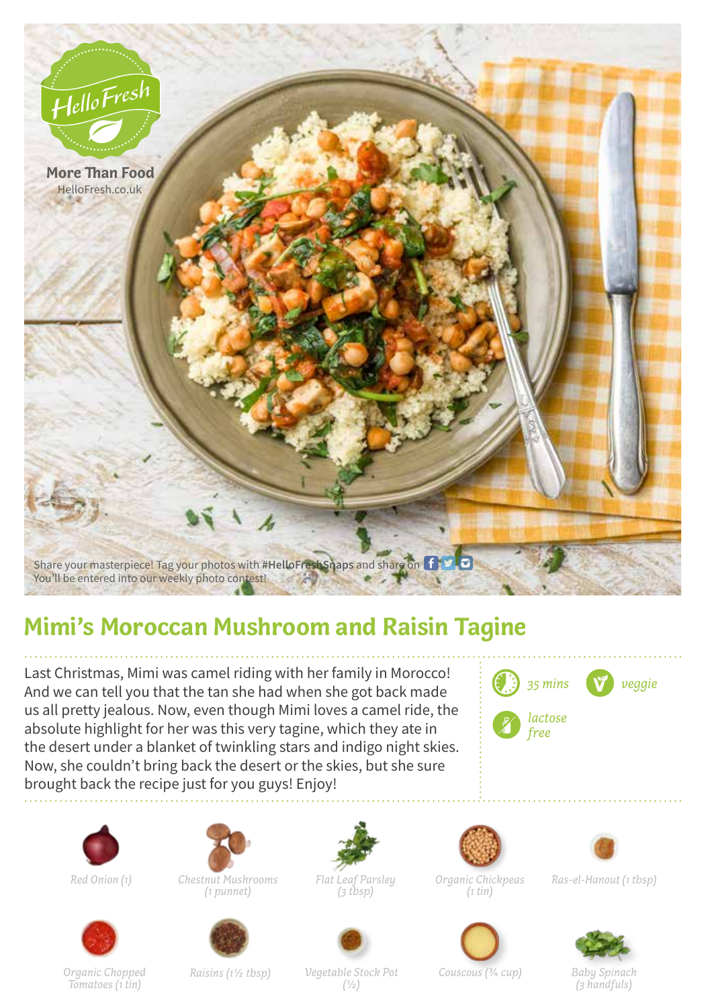

## **Mimi's Moroccan Mushroom and Raisin Tagine**

Last Christmas, Mimi was camel riding with her family in Morocco! And we can tell you that the tan she had when she got back made us all pretty jealous. Now, even though Mimi loves a camel ride, the absolute highlight for her was this very tagine, which they ate in the desert under a blanket of twinkling stars and indigo night skies. Now, she couldn't bring back the desert or the skies, but she sure brought back the recipe just for you guys! Enjoy!







*Red Onion (1) Chestnut Mushrooms (1 punnet)*



*Flat Leaf Parsley (3 tbsp)*



*Organic Chickpeas (1 tin)*



*Ras-el-Hanout (1 tbsp)*



*Tomatoes (1 tin) Raisins (11/2 tbsp) Vegetable Stock Pot (1/2)*

*Couscous (3/4 cup) Baby Spinach*



*(3 handfuls)*

*Organic Chopped*